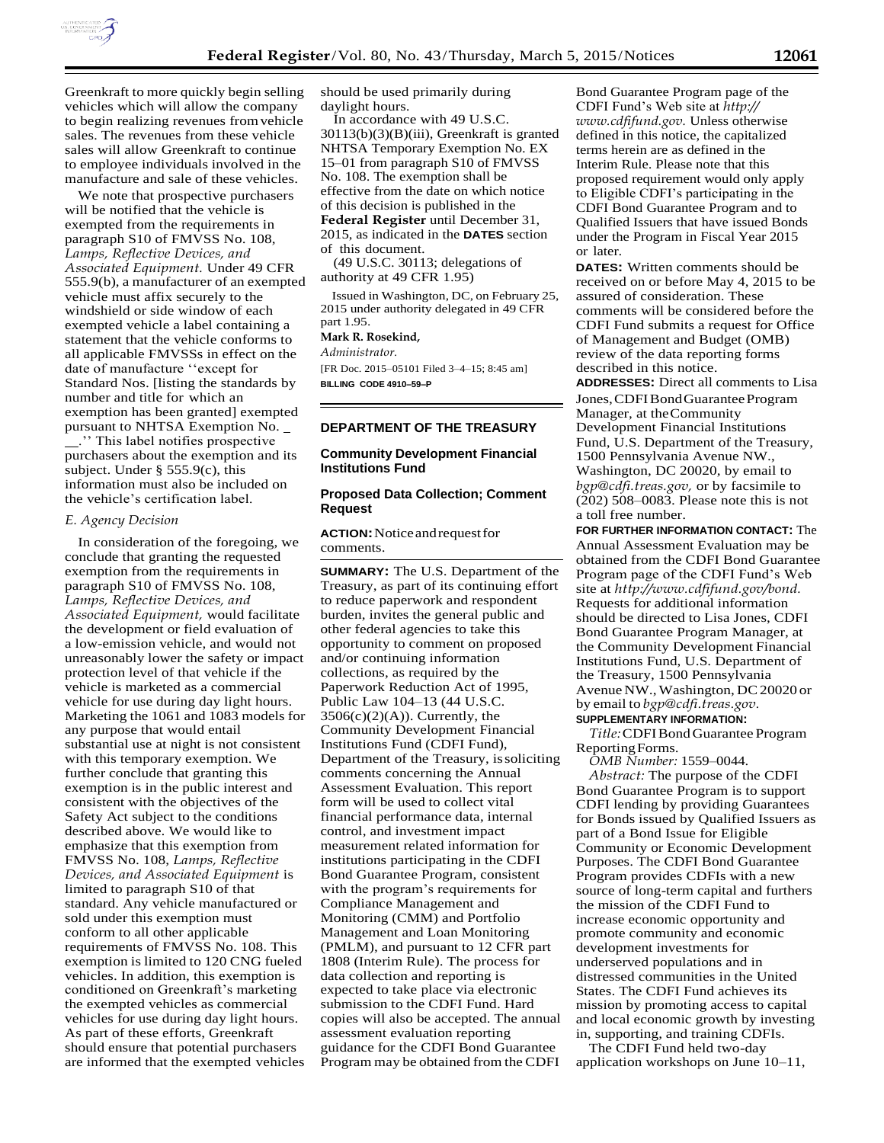

Greenkraft to more quickly begin selling vehicles which will allow the company to begin realizing revenues from vehicle sales. The revenues from these vehicle sales will allow Greenkraft to continue to employee individuals involved in the manufacture and sale of these vehicles.

We note that prospective purchasers will be notified that the vehicle is exempted from the requirements in paragraph S10 of FMVSS No. 108, *Lamps, Reflective Devices, and Associated Equipment.* Under 49 CFR 555.9(b), a manufacturer of an exempted vehicle must affix securely to the windshield or side window of each exempted vehicle a label containing a statement that the vehicle conforms to all applicable FMVSSs in effect on the date of manufacture ''except for Standard Nos. [listing the standards by number and title for which an exemption has been granted] exempted pursuant to NHTSA Exemption No. .'' This label notifies prospective purchasers about the exemption and its subject. Under § 555.9(c), this information must also be included on the vehicle's certification label.

## *E. Agency Decision*

In consideration of the foregoing, we conclude that granting the requested exemption from the requirements in paragraph S10 of FMVSS No. 108, *Lamps, Reflective Devices, and Associated Equipment,* would facilitate the development or field evaluation of a low-emission vehicle, and would not unreasonably lower the safety or impact protection level of that vehicle if the vehicle is marketed as a commercial vehicle for use during day light hours. Marketing the 1061 and 1083 models for any purpose that would entail substantial use at night is not consistent with this temporary exemption. We further conclude that granting this exemption is in the public interest and consistent with the objectives of the Safety Act subject to the conditions described above. We would like to emphasize that this exemption from FMVSS No. 108, *Lamps, Reflective Devices, and Associated Equipment* is limited to paragraph S10 of that standard. Any vehicle manufactured or sold under this exemption must conform to all other applicable requirements of FMVSS No. 108. This exemption is limited to 120 CNG fueled vehicles. In addition, this exemption is conditioned on Greenkraft's marketing the exempted vehicles as commercial vehicles for use during day light hours. As part of these efforts, Greenkraft should ensure that potential purchasers are informed that the exempted vehicles

should be used primarily during daylight hours.

In accordance with 49 U.S.C. 30113(b)(3)(B)(iii), Greenkraft is granted NHTSA Temporary Exemption No. EX 15–01 from paragraph S10 of FMVSS No. 108. The exemption shall be effective from the date on which notice of this decision is published in the **Federal Register** until December 31, 2015, as indicated in the **DATES** section of this document.

(49 U.S.C. 30113; delegations of authority at 49 CFR 1.95)

Issued in Washington, DC, on February 25, 2015 under authority delegated in 49 CFR part 1.95.

#### **Mark R. Rosekind,**

*Administrator.* 

[FR Doc. 2015–05101 Filed 3–4–15; 8:45 am] **BILLING CODE 4910–59–P** 

#### **DEPARTMENT OF THE TREASURY**

# **Community Development Financial Institutions Fund**

## **Proposed Data Collection; Comment Request**

**ACTION:** Notice and request for comments.

**SUMMARY:** The U.S. Department of the Treasury, as part of its continuing effort to reduce paperwork and respondent burden, invites the general public and other federal agencies to take this opportunity to comment on proposed and/or continuing information collections, as required by the Paperwork Reduction Act of 1995, Public Law 104–13 (44 U.S.C.  $3506(c)(2)(A)$ ). Currently, the Community Development Financial Institutions Fund (CDFI Fund), Department of the Treasury, is soliciting comments concerning the Annual Assessment Evaluation. This report form will be used to collect vital financial performance data, internal control, and investment impact measurement related information for institutions participating in the CDFI Bond Guarantee Program, consistent with the program's requirements for Compliance Management and Monitoring (CMM) and Portfolio Management and Loan Monitoring (PMLM), and pursuant to 12 CFR part 1808 (Interim Rule). The process for data collection and reporting is expected to take place via electronic submission to the CDFI Fund. Hard copies will also be accepted. The annual assessment evaluation reporting guidance for the CDFI Bond Guarantee Program may be obtained from the CDFI

Bond Guarantee Program page of the CDFI Fund's Web site at *[http://](http://www.cdfifund.gov/) [www.cdfifund.gov.](http://www.cdfifund.gov/)* Unless otherwise defined in this notice, the capitalized terms herein are as defined in the Interim Rule. Please note that this proposed requirement would only apply to Eligible CDFI's participating in the CDFI Bond Guarantee Program and to Qualified Issuers that have issued Bonds under the Program in Fiscal Year 2015 or later.

**DATES:** Written comments should be received on or before May 4, 2015 to be assured of consideration. These comments will be considered before the CDFI Fund submits a request for Office of Management and Budget (OMB) review of the data reporting forms described in this notice.

**ADDRESSES:** Direct all comments to Lisa Jones, CDFI Bond Guarantee Program Manager, at the Community Development Financial Institutions Fund, U.S. Department of the Treasury, 1500 Pennsylvania Avenue NW., Washington, DC 20020, by email to *[bgp@cdfi.treas.gov,](mailto:bgp@cdfi.treas.gov)* or by facsimile to (202) 508–0083. Please note this is not a toll free number.

**FOR FURTHER INFORMATION CONTACT:** The Annual Assessment Evaluation may be obtained from the CDFI Bond Guarantee Program page of the CDFI Fund's Web site at *[http://www.cdfifund.gov/bond.](http://www.cdfifund.gov/bond)* Requests for additional information should be directed to Lisa Jones, CDFI Bond Guarantee Program Manager, at the Community Development Financial Institutions Fund, U.S. Department of the Treasury, 1500 Pennsylvania Avenue NW., Washington, DC20020 or by email to *[bgp@cdfi.treas.gov.](mailto:bgp@cdfi.treas.gov)* **SUPPLEMENTARY INFORMATION:**

*Title:* CDFI Bond Guarantee Program Reporting Forms.

*OMB Number:* 1559–0044. *Abstract:* The purpose of the CDFI Bond Guarantee Program is to support CDFI lending by providing Guarantees for Bonds issued by Qualified Issuers as part of a Bond Issue for Eligible Community or Economic Development Purposes. The CDFI Bond Guarantee Program provides CDFIs with a new source of long-term capital and furthers the mission of the CDFI Fund to increase economic opportunity and promote community and economic development investments for underserved populations and in distressed communities in the United States. The CDFI Fund achieves its mission by promoting access to capital and local economic growth by investing in, supporting, and training CDFIs.

The CDFI Fund held two-day application workshops on June 10–11,